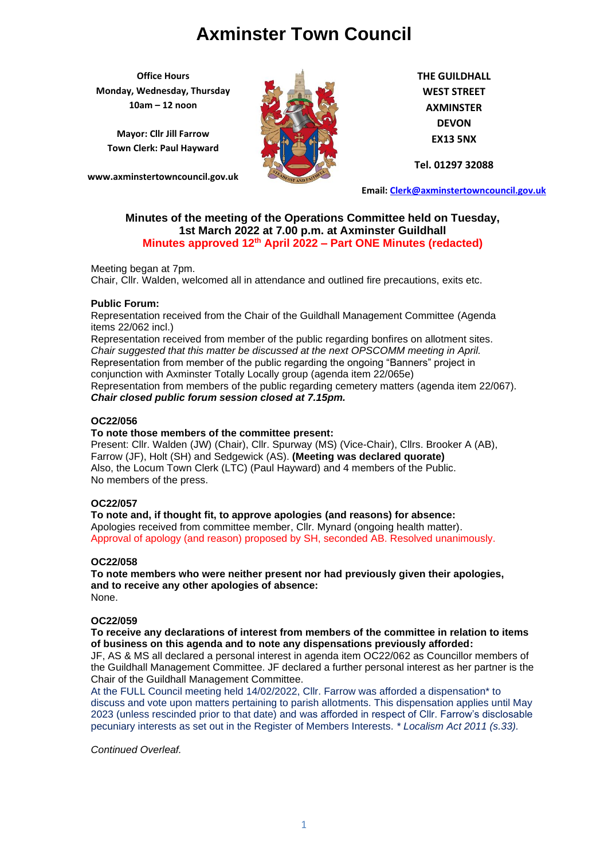**Office Hours Monday, Wednesday, Thursday 10am – 12 noon**

**Mayor: Cllr Jill Farrow Town Clerk: Paul Hayward**

**www.axminstertowncouncil.gov.uk**



**THE GUILDHALL WEST STREET AXMINSTER DEVON EX13 5NX**

**Tel. 01297 32088**

**Email: [Clerk@axminstertowncouncil.gov.uk](file://///axm-svr-1/company/Templates/Clerk@axminstertowncouncil.gov.uk)**

# **Minutes of the meeting of the Operations Committee held on Tuesday, 1st March 2022 at 7.00 p.m. at Axminster Guildhall Minutes approved 12th April 2022 – Part ONE Minutes (redacted)**

Meeting began at 7pm.

Chair, Cllr. Walden, welcomed all in attendance and outlined fire precautions, exits etc.

## **Public Forum:**

Representation received from the Chair of the Guildhall Management Committee (Agenda items 22/062 incl.)

Representation received from member of the public regarding bonfires on allotment sites. *Chair suggested that this matter be discussed at the next OPSCOMM meeting in April.* Representation from member of the public regarding the ongoing "Banners" project in conjunction with Axminster Totally Locally group (agenda item 22/065e) Representation from members of the public regarding cemetery matters (agenda item 22/067). *Chair closed public forum session closed at 7.15pm.*

## **OC22/056**

## **To note those members of the committee present:**

Present: Cllr. Walden (JW) (Chair), Cllr. Spurway (MS) (Vice-Chair), Cllrs. Brooker A (AB), Farrow (JF), Holt (SH) and Sedgewick (AS). **(Meeting was declared quorate)** Also, the Locum Town Clerk (LTC) (Paul Hayward) and 4 members of the Public. No members of the press.

# **OC22/057**

**To note and, if thought fit, to approve apologies (and reasons) for absence:** Apologies received from committee member, Cllr. Mynard (ongoing health matter). Approval of apology (and reason) proposed by SH, seconded AB. Resolved unanimously.

## **OC22/058**

**To note members who were neither present nor had previously given their apologies, and to receive any other apologies of absence:** None.

## **OC22/059**

**To receive any declarations of interest from members of the committee in relation to items of business on this agenda and to note any dispensations previously afforded:**

JF, AS & MS all declared a personal interest in agenda item OC22/062 as Councillor members of the Guildhall Management Committee. JF declared a further personal interest as her partner is the Chair of the Guildhall Management Committee.

At the FULL Council meeting held 14/02/2022, Cllr. Farrow was afforded a dispensation\* to discuss and vote upon matters pertaining to parish allotments. This dispensation applies until May 2023 (unless rescinded prior to that date) and was afforded in respect of Cllr. Farrow's disclosable pecuniary interests as set out in the Register of Members Interests. *\* Localism Act 2011 (s.33).*

*Continued Overleaf.*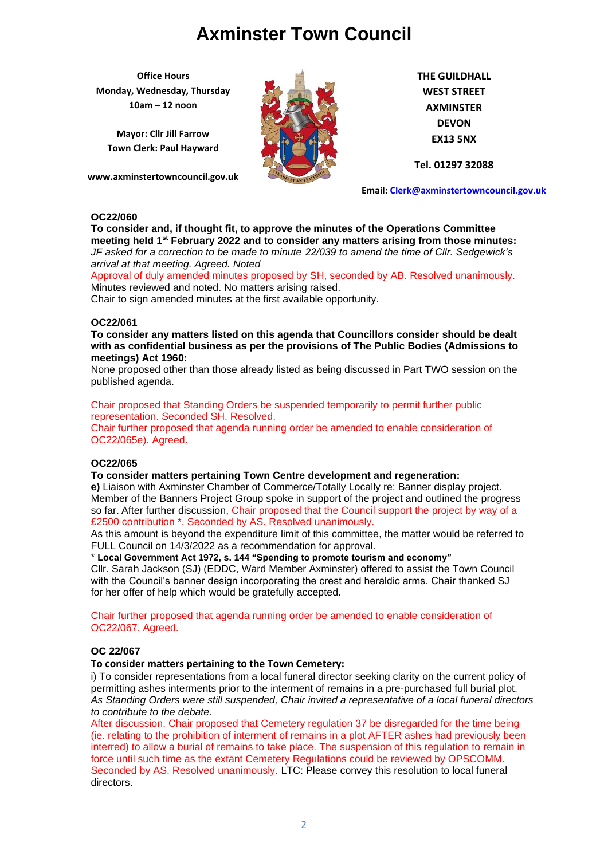**Office Hours Monday, Wednesday, Thursday 10am – 12 noon**

**Mayor: Cllr Jill Farrow Town Clerk: Paul Hayward**

**www.axminstertowncouncil.gov.uk**



**THE GUILDHALL WEST STREET AXMINSTER DEVON EX13 5NX**

**Tel. 01297 32088**

**Email: [Clerk@axminstertowncouncil.gov.uk](file://///axm-svr-1/company/Templates/Clerk@axminstertowncouncil.gov.uk)**

# **OC22/060**

**To consider and, if thought fit, to approve the minutes of the Operations Committee meeting held 1 st February 2022 and to consider any matters arising from those minutes:** *JF asked for a correction to be made to minute 22/039 to amend the time of Cllr. Sedgewick's arrival at that meeting. Agreed. Noted*

Approval of duly amended minutes proposed by SH, seconded by AB. Resolved unanimously.<br>Minutes reviewed and noted. No matters arising raised. Minutes reviewed and noted. No matters arising raised.

Chair to sign amended minutes at the first available opportunity.

## **OC22/061**

**To consider any matters listed on this agenda that Councillors consider should be dealt with as confidential business as per the provisions of The Public Bodies (Admissions to meetings) Act 1960:**

None proposed other than those already listed as being discussed in Part TWO session on the published agenda.

Chair proposed that Standing Orders be suspended temporarily to permit further public representation. Seconded SH. Resolved.

Chair further proposed that agenda running order be amended to enable consideration of OC22/065e). Agreed.

# **OC22/065**

**To consider matters pertaining Town Centre development and regeneration:**

**e)** Liaison with Axminster Chamber of Commerce/Totally Locally re: Banner display project. Member of the Banners Project Group spoke in support of the project and outlined the progress so far. After further discussion, Chair proposed that the Council support the project by way of a £2500 contribution \*. Seconded by AS. Resolved unanimously.

As this amount is beyond the expenditure limit of this committee, the matter would be referred to FULL Council on 14/3/2022 as a recommendation for approval.

\* **Local Government Act 1972, s. 144 "Spending to promote tourism and economy"**

Cllr. Sarah Jackson (SJ) (EDDC, Ward Member Axminster) offered to assist the Town Council with the Council's banner design incorporating the crest and heraldic arms. Chair thanked SJ for her offer of help which would be gratefully accepted.

Chair further proposed that agenda running order be amended to enable consideration of OC22/067. Agreed.

# **OC 22/067**

# **To consider matters pertaining to the Town Cemetery:**

i) To consider representations from a local funeral director seeking clarity on the current policy of permitting ashes interments prior to the interment of remains in a pre-purchased full burial plot. *As Standing Orders were still suspended, Chair invited a representative of a local funeral directors to contribute to the debate.*

After discussion, Chair proposed that Cemetery regulation 37 be disregarded for the time being (ie. relating to the prohibition of interment of remains in a plot AFTER ashes had previously been interred) to allow a burial of remains to take place. The suspension of this regulation to remain in force until such time as the extant Cemetery Regulations could be reviewed by OPSCOMM. Seconded by AS. Resolved unanimously. LTC: Please convey this resolution to local funeral directors.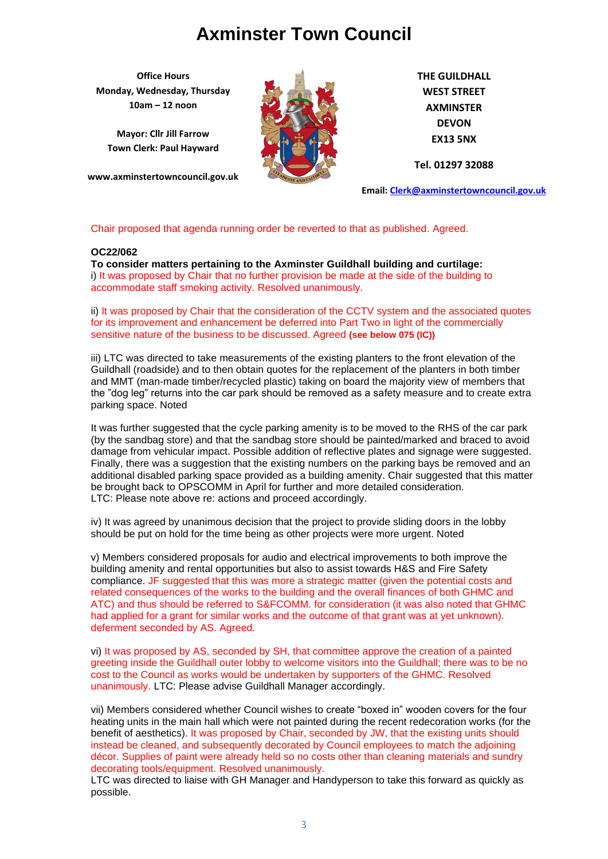**Office Hours Monday, Wednesday, Thursday 10am – 12 noon**

**Mayor: Cllr Jill Farrow Town Clerk: Paul Hayward**

**www.axminstertowncouncil.gov.uk**



**THE GUILDHALL WEST STREET AXMINSTER DEVON EX13 5NX**

**Tel. 01297 32088**

**Email: [Clerk@axminstertowncouncil.gov.uk](file://///axm-svr-1/company/Templates/Clerk@axminstertowncouncil.gov.uk)**

Chair proposed that agenda running order be reverted to that as published. Agreed.

## **OC22/062**

i) It was proposed by Chair that no further provision be made at the side of the building to<br>accommodate staff smoking activity. Resolved unanimously **To consider matters pertaining to the Axminster Guildhall building and curtilage:** accommodate staff smoking activity. Resolved unanimously.

ii) It was proposed by Chair that the consideration of the CCTV system and the associated quotes for its improvement and enhancement be deferred into Part Two in light of the commercially sensitive nature of the business to be discussed. Agreed **(see below 075 (IC))**

iii) LTC was directed to take measurements of the existing planters to the front elevation of the Guildhall (roadside) and to then obtain quotes for the replacement of the planters in both timber and MMT (man-made timber/recycled plastic) taking on board the majority view of members that the "dog leg" returns into the car park should be removed as a safety measure and to create extra parking space. Noted

It was further suggested that the cycle parking amenity is to be moved to the RHS of the car park (by the sandbag store) and that the sandbag store should be painted/marked and braced to avoid damage from vehicular impact. Possible addition of reflective plates and signage were suggested. Finally, there was a suggestion that the existing numbers on the parking bays be removed and an additional disabled parking space provided as a building amenity. Chair suggested that this matter be brought back to OPSCOMM in April for further and more detailed consideration. LTC: Please note above re: actions and proceed accordingly.

iv) It was agreed by unanimous decision that the project to provide sliding doors in the lobby should be put on hold for the time being as other projects were more urgent. Noted

v) Members considered proposals for audio and electrical improvements to both improve the building amenity and rental opportunities but also to assist towards H&S and Fire Safety compliance. JF suggested that this was more a strategic matter (given the potential costs and related consequences of the works to the building and the overall finances of both GHMC and ATC) and thus should be referred to S&FCOMM. for consideration (it was also noted that GHMC had applied for a grant for similar works and the outcome of that grant was at yet unknown). deferment seconded by AS. Agreed.

vi) It was proposed by AS, seconded by SH, that committee approve the creation of a painted greeting inside the Guildhall outer lobby to welcome visitors into the Guildhall; there was to be no cost to the Council as works would be undertaken by supporters of the GHMC. Resolved unanimously. LTC: Please advise Guildhall Manager accordingly.

vii) Members considered whether Council wishes to create "boxed in" wooden covers for the four heating units in the main hall which were not painted during the recent redecoration works (for the benefit of aesthetics). It was proposed by Chair, seconded by JW, that the existing units should instead be cleaned, and subsequently decorated by Council employees to match the adjoining décor. Supplies of paint were already held so no costs other than cleaning materials and sundry decorating tools/equipment. Resolved unanimously.

LTC was directed to liaise with GH Manager and Handyperson to take this forward as quickly as possible.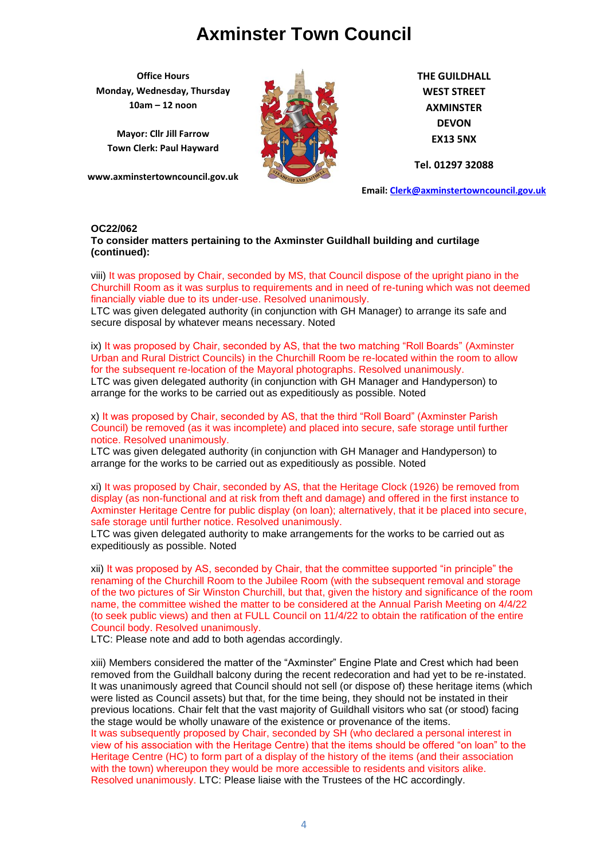**Office Hours Monday, Wednesday, Thursday 10am – 12 noon**

**Mayor: Cllr Jill Farrow Town Clerk: Paul Hayward**

**www.axminstertowncouncil.gov.uk**



**THE GUILDHALL WEST STREET AXMINSTER DEVON EX13 5NX**

**Tel. 01297 32088**

**Email: [Clerk@axminstertowncouncil.gov.uk](file://///axm-svr-1/company/Templates/Clerk@axminstertowncouncil.gov.uk)**

#### **OC22/062**

**To consider matters pertaining to the Axminster Guildhall building and curtilage (continued):**

**TEL: 01297 32088** Churchill Room as it was surplus to requirements and in need of re-tuning which was not deemed viii) It was proposed by Chair, seconded by MS, that Council dispose of the upright piano in the financially viable due to its under-use. Resolved unanimously.

LTC was given delegated authority (in conjunction with GH Manager) to arrange its safe and secure disposal by whatever means necessary. Noted

ix) It was proposed by Chair, seconded by AS, that the two matching "Roll Boards" (Axminster Urban and Rural District Councils) in the Churchill Room be re-located within the room to allow for the subsequent re-location of the Mayoral photographs. Resolved unanimously.

LTC was given delegated authority (in conjunction with GH Manager and Handyperson) to arrange for the works to be carried out as expeditiously as possible. Noted

x) It was proposed by Chair, seconded by AS, that the third "Roll Board" (Axminster Parish Council) be removed (as it was incomplete) and placed into secure, safe storage until further notice. Resolved unanimously.

LTC was given delegated authority (in conjunction with GH Manager and Handyperson) to arrange for the works to be carried out as expeditiously as possible. Noted

xi) It was proposed by Chair, seconded by AS, that the Heritage Clock (1926) be removed from display (as non-functional and at risk from theft and damage) and offered in the first instance to Axminster Heritage Centre for public display (on loan); alternatively, that it be placed into secure, safe storage until further notice. Resolved unanimously.

LTC was given delegated authority to make arrangements for the works to be carried out as expeditiously as possible. Noted

xii) It was proposed by AS, seconded by Chair, that the committee supported "in principle" the renaming of the Churchill Room to the Jubilee Room (with the subsequent removal and storage of the two pictures of Sir Winston Churchill, but that, given the history and significance of the room name, the committee wished the matter to be considered at the Annual Parish Meeting on 4/4/22 (to seek public views) and then at FULL Council on 11/4/22 to obtain the ratification of the entire Council body. Resolved unanimously.

LTC: Please note and add to both agendas accordingly.

xiii) Members considered the matter of the "Axminster" Engine Plate and Crest which had been removed from the Guildhall balcony during the recent redecoration and had yet to be re-instated. It was unanimously agreed that Council should not sell (or dispose of) these heritage items (which were listed as Council assets) but that, for the time being, they should not be instated in their previous locations. Chair felt that the vast majority of Guildhall visitors who sat (or stood) facing the stage would be wholly unaware of the existence or provenance of the items.

It was subsequently proposed by Chair, seconded by SH (who declared a personal interest in view of his association with the Heritage Centre) that the items should be offered "on loan" to the Heritage Centre (HC) to form part of a display of the history of the items (and their association with the town) whereupon they would be more accessible to residents and visitors alike. Resolved unanimously. LTC: Please liaise with the Trustees of the HC accordingly.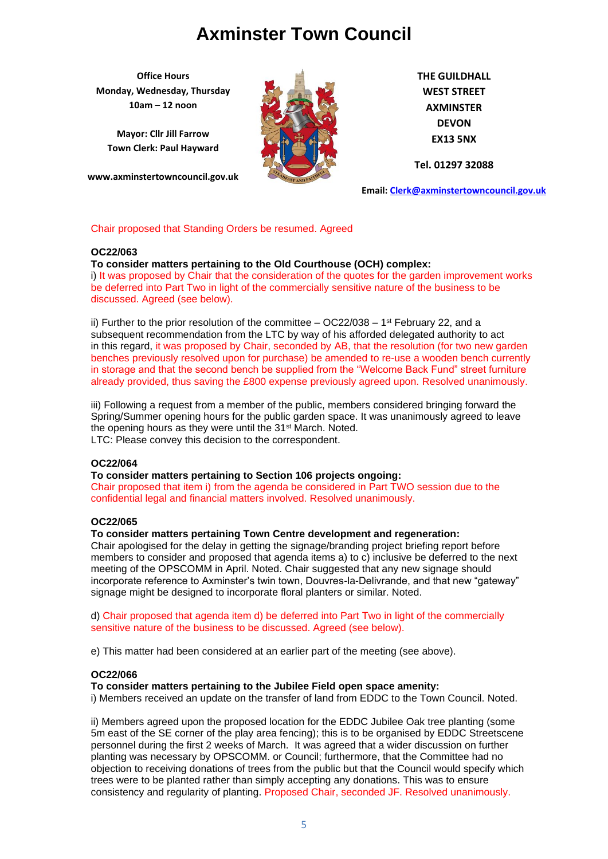**Office Hours Monday, Wednesday, Thursday 10am – 12 noon**

**Mayor: Cllr Jill Farrow Town Clerk: Paul Hayward**

**www.axminstertowncouncil.gov.uk**



**THE GUILDHALL WEST STREET AXMINSTER DEVON EX13 5NX**

**Tel. 01297 32088**

**Email: [Clerk@axminstertowncouncil.gov.uk](file://///axm-svr-1/company/Templates/Clerk@axminstertowncouncil.gov.uk)**

## Chair proposed that Standing Orders be resumed. Agreed

## **OC22/063**

# **To consider matters pertaining to the Old Courthouse (OCH) complex:**

of the deferred into Part Two in light of the commercially sensitive nature of the business to be i) It was proposed by Chair that the consideration of the quotes for the garden improvement works discussed. Agreed (see below).

ii) Further to the prior resolution of the committee  $-$  OC22/038  $-$  1<sup>st</sup> February 22, and a subsequent recommendation from the LTC by way of his afforded delegated authority to act in this regard, it was proposed by Chair, seconded by AB, that the resolution (for two new garden benches previously resolved upon for purchase) be amended to re-use a wooden bench currently in storage and that the second bench be supplied from the "Welcome Back Fund" street furniture already provided, thus saving the £800 expense previously agreed upon. Resolved unanimously.

iii) Following a request from a member of the public, members considered bringing forward the Spring/Summer opening hours for the public garden space. It was unanimously agreed to leave the opening hours as they were until the 31st March. Noted. LTC: Please convey this decision to the correspondent.

## **OC22/064**

**To consider matters pertaining to Section 106 projects ongoing:** Chair proposed that item i) from the agenda be considered in Part TWO session due to the confidential legal and financial matters involved. Resolved unanimously.

## **OC22/065**

# **To consider matters pertaining Town Centre development and regeneration:**

Chair apologised for the delay in getting the signage/branding project briefing report before members to consider and proposed that agenda items a) to c) inclusive be deferred to the next meeting of the OPSCOMM in April. Noted. Chair suggested that any new signage should incorporate reference to Axminster's twin town, Douvres-la-Delivrande, and that new "gateway" signage might be designed to incorporate floral planters or similar. Noted.

d) Chair proposed that agenda item d) be deferred into Part Two in light of the commercially sensitive nature of the business to be discussed. Agreed (see below).

e) This matter had been considered at an earlier part of the meeting (see above).

# **OC22/066**

#### **To consider matters pertaining to the Jubilee Field open space amenity:**

i) Members received an update on the transfer of land from EDDC to the Town Council. Noted.

ii) Members agreed upon the proposed location for the EDDC Jubilee Oak tree planting (some 5m east of the SE corner of the play area fencing); this is to be organised by EDDC Streetscene personnel during the first 2 weeks of March. It was agreed that a wider discussion on further planting was necessary by OPSCOMM. or Council; furthermore, that the Committee had no objection to receiving donations of trees from the public but that the Council would specify which trees were to be planted rather than simply accepting any donations. This was to ensure consistency and regularity of planting. Proposed Chair, seconded JF. Resolved unanimously.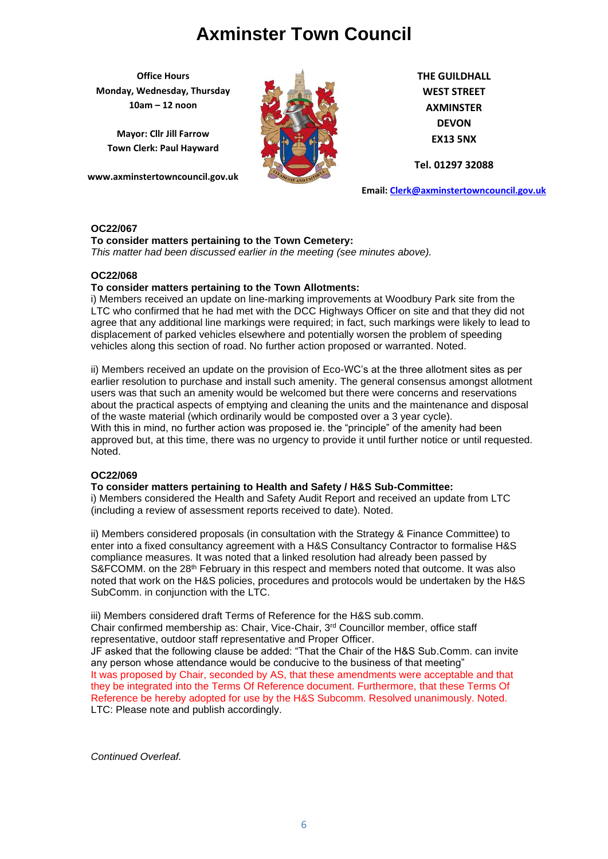**Office Hours Monday, Wednesday, Thursday 10am – 12 noon**

**Mayor: Cllr Jill Farrow Town Clerk: Paul Hayward**

**www.axminstertowncouncil.gov.uk**



**THE GUILDHALL WEST STREET AXMINSTER DEVON EX13 5NX**

**Tel. 01297 32088**

**Email: [Clerk@axminstertowncouncil.gov.uk](file://///axm-svr-1/company/Templates/Clerk@axminstertowncouncil.gov.uk)**

## **OC22/067**

# **To consider matters pertaining to the Town Cemetery:**

*This matter had been discussed earlier in the meeting (see minutes above).*

## **OC22/068**

# **To consider matters pertaining to the Town Allotments:**

i) Members received an update on line-marking improvements at Woodbury Park site from the LTC who confirmed that he had met with the DCC Highways Officer on site and that they did not agree that any additional line markings were required; in fact, such markings were likely to lead to displacement of parked vehicles elsewhere and potentially worsen the problem of speeding vehicles along this section of road. No further action proposed or warranted. Noted.

ii) Members received an update on the provision of Eco-WC's at the three allotment sites as per earlier resolution to purchase and install such amenity. The general consensus amongst allotment users was that such an amenity would be welcomed but there were concerns and reservations about the practical aspects of emptying and cleaning the units and the maintenance and disposal of the waste material (which ordinarily would be composted over a 3 year cycle). With this in mind, no further action was proposed ie. the "principle" of the amenity had been approved but, at this time, there was no urgency to provide it until further notice or until requested. Noted.

# **OC22/069**

#### **To consider matters pertaining to Health and Safety / H&S Sub-Committee:**

i) Members considered the Health and Safety Audit Report and received an update from LTC (including a review of assessment reports received to date). Noted.

ii) Members considered proposals (in consultation with the Strategy & Finance Committee) to enter into a fixed consultancy agreement with a H&S Consultancy Contractor to formalise H&S compliance measures. It was noted that a linked resolution had already been passed by  $S\&FCOMM$ . on the 28<sup>th</sup> February in this respect and members noted that outcome. It was also noted that work on the H&S policies, procedures and protocols would be undertaken by the H&S SubComm. in conjunction with the LTC.

iii) Members considered draft Terms of Reference for the H&S sub.comm. Chair confirmed membership as: Chair, Vice-Chair, 3rd Councillor member, office staff

representative, outdoor staff representative and Proper Officer.

JF asked that the following clause be added: "That the Chair of the H&S Sub.Comm. can invite any person whose attendance would be conducive to the business of that meeting" It was proposed by Chair, seconded by AS, that these amendments were acceptable and that they be integrated into the Terms Of Reference document. Furthermore, that these Terms Of Reference be hereby adopted for use by the H&S Subcomm. Resolved unanimously. Noted. LTC: Please note and publish accordingly.

*Continued Overleaf.*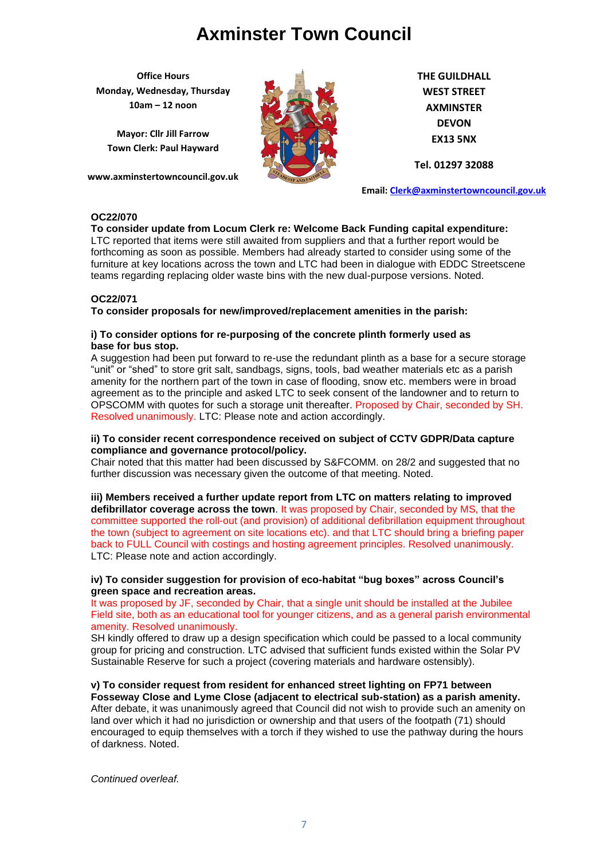**Office Hours Monday, Wednesday, Thursday 10am – 12 noon**

**Mayor: Cllr Jill Farrow Town Clerk: Paul Hayward**

**www.axminstertowncouncil.gov.uk**



**THE GUILDHALL WEST STREET AXMINSTER DEVON EX13 5NX**

**Tel. 01297 32088**

**Email: [Clerk@axminstertowncouncil.gov.uk](file://///axm-svr-1/company/Templates/Clerk@axminstertowncouncil.gov.uk)**

# **OC22/070**

# **To consider update from Locum Clerk re: Welcome Back Funding capital expenditure:**

teams regarding replacing older waste bins with the new dual-purpose versions. Noted.<br>. LTC reported that items were still awaited from suppliers and that a further report would be forthcoming as soon as possible. Members had already started to consider using some of the furniture at key locations across the town and LTC had been in dialogue with EDDC Streetscene

# **OC22/071**

**To consider proposals for new/improved/replacement amenities in the parish:**

## **i) To consider options for re-purposing of the concrete plinth formerly used as base for bus stop.**

A suggestion had been put forward to re-use the redundant plinth as a base for a secure storage "unit" or "shed" to store grit salt, sandbags, signs, tools, bad weather materials etc as a parish amenity for the northern part of the town in case of flooding, snow etc. members were in broad agreement as to the principle and asked LTC to seek consent of the landowner and to return to OPSCOMM with quotes for such a storage unit thereafter. Proposed by Chair, seconded by SH. Resolved unanimously. LTC: Please note and action accordingly.

## **ii) To consider recent correspondence received on subject of CCTV GDPR/Data capture compliance and governance protocol/policy.**

Chair noted that this matter had been discussed by S&FCOMM. on 28/2 and suggested that no further discussion was necessary given the outcome of that meeting. Noted.

**iii) Members received a further update report from LTC on matters relating to improved defibrillator coverage across the town**. It was proposed by Chair, seconded by MS, that the committee supported the roll-out (and provision) of additional defibrillation equipment throughout the town (subject to agreement on site locations etc). and that LTC should bring a briefing paper back to FULL Council with costings and hosting agreement principles. Resolved unanimously. LTC: Please note and action accordingly.

# **iv) To consider suggestion for provision of eco-habitat "bug boxes" across Council's green space and recreation areas.**

It was proposed by JF, seconded by Chair, that a single unit should be installed at the Jubilee Field site, both as an educational tool for younger citizens, and as a general parish environmental amenity. Resolved unanimously.

SH kindly offered to draw up a design specification which could be passed to a local community group for pricing and construction. LTC advised that sufficient funds existed within the Solar PV Sustainable Reserve for such a project (covering materials and hardware ostensibly).

**v) To consider request from resident for enhanced street lighting on FP71 between Fosseway Close and Lyme Close (adjacent to electrical sub-station) as a parish amenity.** After debate, it was unanimously agreed that Council did not wish to provide such an amenity on land over which it had no jurisdiction or ownership and that users of the footpath (71) should encouraged to equip themselves with a torch if they wished to use the pathway during the hours of darkness. Noted.

*Continued overleaf.*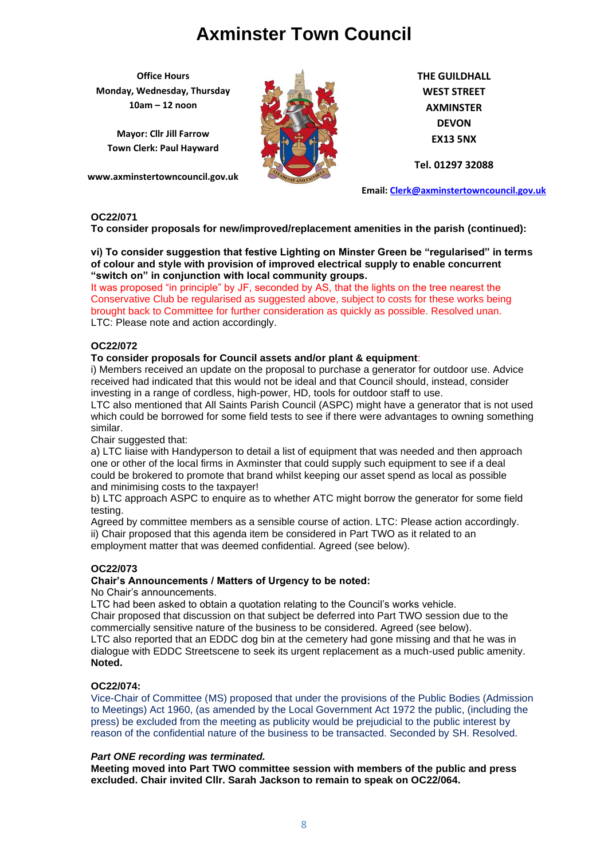**Office Hours Monday, Wednesday, Thursday 10am – 12 noon**

**Mayor: Cllr Jill Farrow Town Clerk: Paul Hayward**

**www.axminstertowncouncil.gov.uk**



**THE GUILDHALL WEST STREET AXMINSTER DEVON EX13 5NX**

**Tel. 01297 32088**

**Email: [Clerk@axminstertowncouncil.gov.uk](file://///axm-svr-1/company/Templates/Clerk@axminstertowncouncil.gov.uk)**

# **OC22/071**

**To consider proposals for new/improved/replacement amenities in the parish (continued):**

**vi) To consider suggestion that festive Lighting on Minster Green be "regularised" in terms of colour and style with provision of improved electrical supply to enable concurrent "switch on" in conjunction with local community groups.**

**TEL: 01297 32088** It was proposed "in principle" by JF, seconded by AS, that the lights on the tree nearest the Conservative Club be regularised as suggested above, subject to costs for these works being brought back to Committee for further consideration as quickly as possible. Resolved unan. LTC: Please note and action accordingly.

# **OC22/072**

# **To consider proposals for Council assets and/or plant & equipment**:

i) Members received an update on the proposal to purchase a generator for outdoor use. Advice received had indicated that this would not be ideal and that Council should, instead, consider investing in a range of cordless, high-power, HD, tools for outdoor staff to use.

LTC also mentioned that All Saints Parish Council (ASPC) might have a generator that is not used which could be borrowed for some field tests to see if there were advantages to owning something similar.

Chair suggested that:

a) LTC liaise with Handyperson to detail a list of equipment that was needed and then approach one or other of the local firms in Axminster that could supply such equipment to see if a deal could be brokered to promote that brand whilst keeping our asset spend as local as possible and minimising costs to the taxpayer!

b) LTC approach ASPC to enquire as to whether ATC might borrow the generator for some field testing.

Agreed by committee members as a sensible course of action. LTC: Please action accordingly. ii) Chair proposed that this agenda item be considered in Part TWO as it related to an employment matter that was deemed confidential. Agreed (see below).

# **OC22/073**

## **Chair's Announcements / Matters of Urgency to be noted:**

No Chair's announcements.

LTC had been asked to obtain a quotation relating to the Council's works vehicle. Chair proposed that discussion on that subject be deferred into Part TWO session due to the commercially sensitive nature of the business to be considered. Agreed (see below).

LTC also reported that an EDDC dog bin at the cemetery had gone missing and that he was in dialogue with EDDC Streetscene to seek its urgent replacement as a much-used public amenity. **Noted.**

# **OC22/074:**

Vice-Chair of Committee (MS) proposed that under the provisions of the Public Bodies (Admission to Meetings) Act 1960, (as amended by the Local Government Act 1972 the public, (including the press) be excluded from the meeting as publicity would be prejudicial to the public interest by reason of the confidential nature of the business to be transacted. Seconded by SH. Resolved.

## *Part ONE recording was terminated.*

**Meeting moved into Part TWO committee session with members of the public and press excluded. Chair invited Cllr. Sarah Jackson to remain to speak on OC22/064.**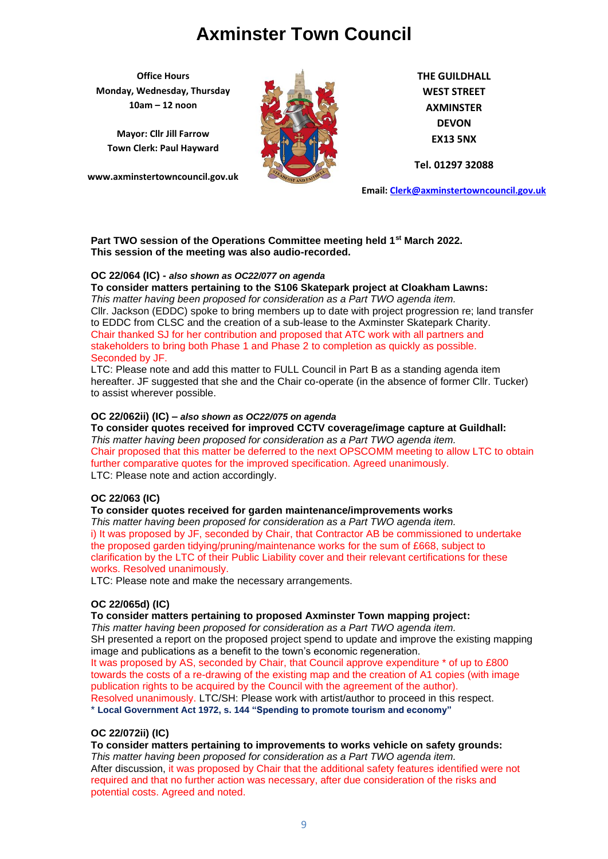**Office Hours Monday, Wednesday, Thursday 10am – 12 noon**

**Mayor: Cllr Jill Farrow Town Clerk: Paul Hayward**

**www.axminstertowncouncil.gov.uk**



**THE GUILDHALL WEST STREET AXMINSTER DEVON EX13 5NX**

**Tel. 01297 32088**

**Email: [Clerk@axminstertowncouncil.gov.uk](file://///axm-svr-1/company/Templates/Clerk@axminstertowncouncil.gov.uk)**

## **Part TWO session of the Operations Committee meeting held 1st March 2022. This session of the meeting was also audio-recorded.**

# **OC 22/064 (IC) -** *also shown as OC22/077 on agenda*

**TEL: 01297 32088 To consider matters pertaining to the S106 Skatepark project at Cloakham Lawns:** *This matter having been proposed for consideration as a Part TWO agenda item.*

Cllr. Jackson (EDDC) spoke to bring members up to date with project progression re; land transfer to EDDC from CLSC and the creation of a sub-lease to the Axminster Skatepark Charity. Chair thanked SJ for her contribution and proposed that ATC work with all partners and stakeholders to bring both Phase 1 and Phase 2 to completion as quickly as possible. Seconded by JF.

LTC: Please note and add this matter to FULL Council in Part B as a standing agenda item hereafter. JF suggested that she and the Chair co-operate (in the absence of former Cllr. Tucker) to assist wherever possible.

# **OC 22/062ii) (IC) –** *also shown as OC22/075 on agenda*

**To consider quotes received for improved CCTV coverage/image capture at Guildhall:** *This matter having been proposed for consideration as a Part TWO agenda item.* Chair proposed that this matter be deferred to the next OPSCOMM meeting to allow LTC to obtain further comparative quotes for the improved specification. Agreed unanimously. LTC: Please note and action accordingly.

# **OC 22/063 (IC)**

# **To consider quotes received for garden maintenance/improvements works**

*This matter having been proposed for consideration as a Part TWO agenda item.* i) It was proposed by JF, seconded by Chair, that Contractor AB be commissioned to undertake the proposed garden tidying/pruning/maintenance works for the sum of £668, subject to clarification by the LTC of their Public Liability cover and their relevant certifications for these works. Resolved unanimously.

LTC: Please note and make the necessary arrangements.

# **OC 22/065d) (IC)**

**To consider matters pertaining to proposed Axminster Town mapping project:**

*This matter having been proposed for consideration as a Part TWO agenda item.* SH presented a report on the proposed project spend to update and improve the existing mapping image and publications as a benefit to the town's economic regeneration. It was proposed by AS, seconded by Chair, that Council approve expenditure \* of up to £800 towards the costs of a re-drawing of the existing map and the creation of A1 copies (with image publication rights to be acquired by the Council with the agreement of the author). Resolved unanimously. LTC/SH: Please work with artist/author to proceed in this respect.

\* **Local Government Act 1972, s. 144 "Spending to promote tourism and economy"**

## **OC 22/072ii) (IC)**

**To consider matters pertaining to improvements to works vehicle on safety grounds:** *This matter having been proposed for consideration as a Part TWO agenda item.* After discussion, it was proposed by Chair that the additional safety features identified were not required and that no further action was necessary, after due consideration of the risks and potential costs. Agreed and noted.